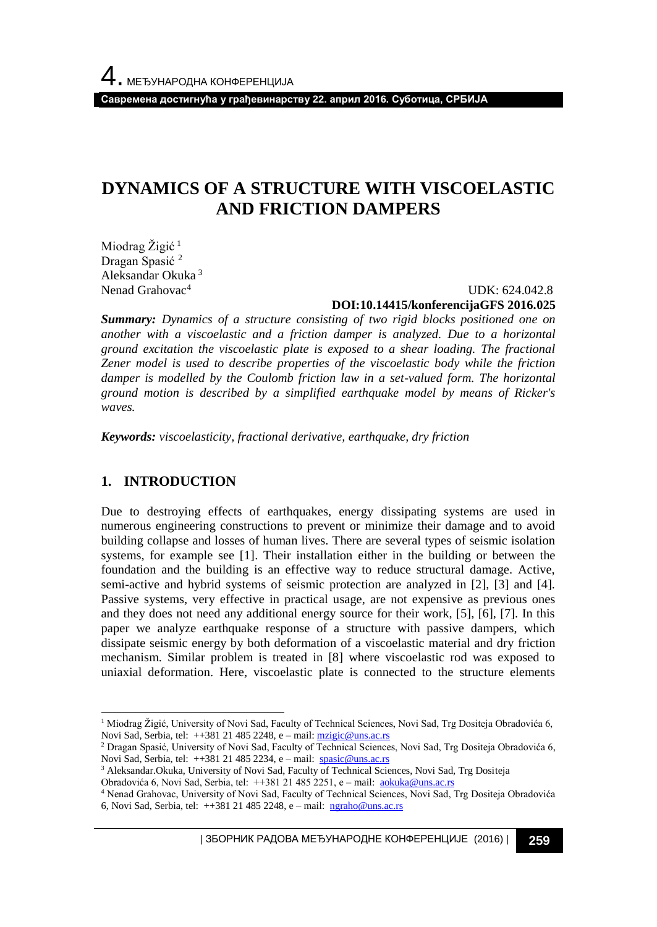**Савремена достигнућа у грађевинарству 22. април 2016. Суботица, СРБИЈА**

## **DYNAMICS OF A STRUCTURE WITH VISCOELASTIC AND FRICTION DAMPERS**

Miodrag Žigić<sup>1</sup> Dragan Spasić <sup>2</sup> Aleksandar Okuka <sup>3</sup> Nenad Grahovac<sup>4</sup>

 UDK: 624.042.8 **DOI:10.14415/konferencijaGFS 2016.025**

*Summary: Dynamics of a structure consisting of two rigid blocks positioned one on another with a viscoelastic and a friction damper is analyzed. Due to a horizontal ground excitation the viscoelastic plate is exposed to a shear loading. The fractional Zener model is used to describe properties of the viscoelastic body while the friction damper is modelled by the Coulomb friction law in a set-valued form. The horizontal ground motion is described by a simplified earthquake model by means of Ricker's waves.* 

*Keywords: viscoelasticity, fractional derivative, earthquake, dry friction*

#### **1. INTRODUCTION**

l

Due to destroying effects of earthquakes, energy dissipating systems are used in numerous engineering constructions to prevent or minimize their damage and to avoid building collapse and losses of human lives. There are several types of seismic isolation systems, for example see [1]. Their installation either in the building or between the foundation and the building is an effective way to reduce structural damage. Active, semi-active and hybrid systems of seismic protection are analyzed in [2], [3] and [4]. Passive systems, very effective in practical usage, are not expensive as previous ones and they does not need any additional energy source for their work, [5], [6], [7]. In this paper we analyze earthquake response of a structure with passive dampers, which dissipate seismic energy by both deformation of a viscoelastic material and dry friction mechanism. Similar problem is treated in [8] where viscoelastic rod was exposed to uniaxial deformation. Here, viscoelastic plate is connected to the structure elements

<sup>2</sup> Dragan Spasić, University of Novi Sad, Faculty of Technical Sciences, Novi Sad, Trg Dositeja Obradovića 6, Novi Sad, Serbia, tel: ++381 21 485 2234, e – mail: [spasic@uns.ac.rs](mailto:sreckovic@gf.uns.ac.rs)

- <sup>3</sup> Aleksandar.Okuka, University of Novi Sad, Faculty of Technical Sciences, Novi Sad, Trg Dositeja
- Obradovića 6, Novi Sad, Serbia, tel: ++381 21 485 2251, e mail: [aokuka@uns.ac.rs](mailto:sreckovic@gf.uns.ac.rs)

| ЗБОРНИК РАДОВА МЕЂУНАРОДНЕ КОНФЕРЕНЦИЈЕ (2016) | **259**

<sup>1</sup> Miodrag Žigić, University of Novi Sad, Faculty of Technical Sciences, Novi Sad, Trg Dositeja Obradovića 6, Novi Sad, Serbia, tel: ++381 21 485 2248, e – mail[: mzigic@uns.ac.rs](mailto:sreckovic@gf.uns.ac.rs)

<sup>4</sup> Nenad Grahovac, University of Novi Sad, Faculty of Technical Sciences, Novi Sad, Trg Dositeja Obradovića 6, Novi Sad, Serbia, tel: ++381 21 485 2248, e – mail: [ngraho@uns.ac.rs](mailto:sreckovic@gf.uns.ac.rs)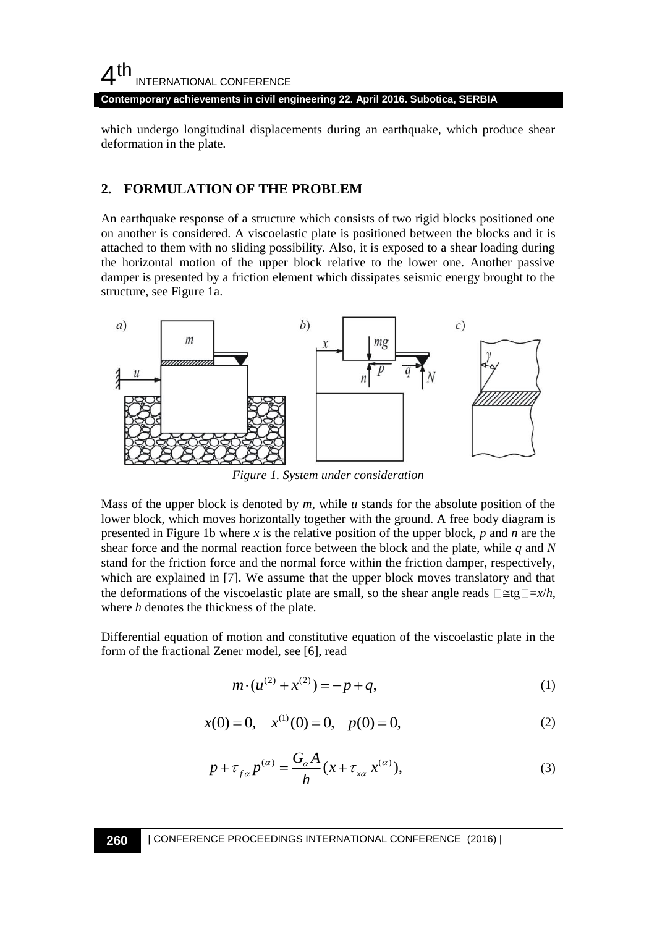## $4<sup>th</sup>$ INTERNATIONAL CONFERENCE

**Contemporary achievements in civil engineering 22. April 2016. Subotica, SERBIA**

which undergo longitudinal displacements during an earthquake, which produce shear deformation in the plate.

#### **2. FORMULATION OF THE PROBLEM**

An earthquake response of a structure which consists of two rigid blocks positioned one on another is considered. A viscoelastic plate is positioned between the blocks and it is attached to them with no sliding possibility. Also, it is exposed to a shear loading during the horizontal motion of the upper block relative to the lower one. Another passive damper is presented by a friction element which dissipates seismic energy brought to the structure, see Figure 1a.



*Figure 1. System under consideration*

Mass of the upper block is denoted by *m*, while *u* stands for the absolute position of the lower block, which moves horizontally together with the ground. A free body diagram is presented in Figure 1b where *x* is the relative position of the upper block, *p* and *n* are the shear force and the normal reaction force between the block and the plate, while *q* and *N* stand for the friction force and the normal force within the friction damper, respectively, which are explained in [7]. We assume that the upper block moves translatory and that the deformations of the viscoelastic plate are small, so the shear angle reads  $\Box \cong t\mathbf{g} \Box = x/h$ , where *h* denotes the thickness of the plate.

Differential equation of motion and constitutive equation of the viscoelastic plate in the form of the fractional Zener model, see [6], read

$$
m \cdot (u^{(2)} + x^{(2)}) = -p + q,\tag{1}
$$

$$
x(0) = 0, \quad x^{(1)}(0) = 0, \quad p(0) = 0,
$$
 (2)

$$
p + \tau_{fa} p^{(a)} = \frac{G_a A}{h} (x + \tau_{xa} x^{(a)}),
$$
 (3)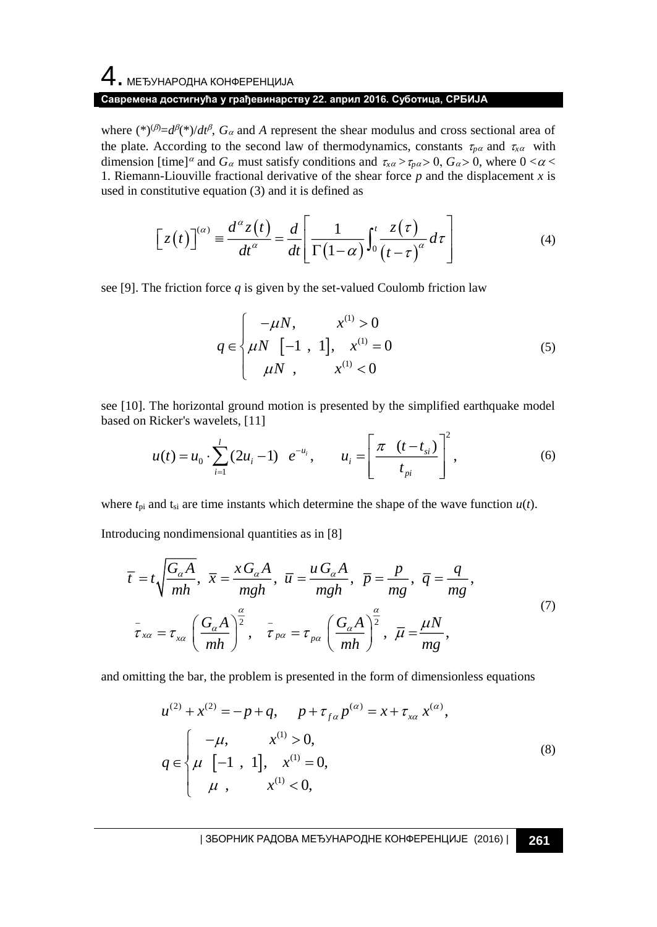# 4. МЕЂУНАРОДНА КОНФЕРЕНЦИЈА

#### **Савремена достигнућа у грађевинарству 22. април 2016. Суботица, СРБИЈА**

where  $(\ast)^{(\beta)} = d^{\beta}(\ast)/dt^{\beta}$ ,  $G_{\alpha}$  and *A* represent the shear modulus and cross sectional area of the plate. According to the second law of thermodynamics, constants  $\tau_{p\alpha}$  and  $\tau_{x\alpha}$  with dimension [time]<sup> $\alpha$ </sup> and  $G_{\alpha}$  must satisfy conditions and  $\tau_{\alpha\alpha} > \tau_{\beta\alpha} > 0$ ,  $G_{\alpha} > 0$ , where  $0 < \alpha <$ 1. Riemann-Liouville fractional derivative of the shear force *p* and the displacement *x* is used in constitutive equation (3) and it is defined as

sstitutive equation (3) and it is defined as  
\n
$$
\left[z(t)\right]^{(\alpha)} \equiv \frac{d^{\alpha}z(t)}{dt^{\alpha}} = \frac{d}{dt}\left[\frac{1}{\Gamma(1-\alpha)}\int_{0}^{t} \frac{z(\tau)}{(t-\tau)^{\alpha}}d\tau\right]
$$
\n(4)

see [9]. The friction force  $q$  is given by the set-valued Coulomb friction law

$$
q \in \begin{cases} -\mu N, & x^{(1)} > 0 \\ \mu N \left[ -1, 1 \right], & x^{(1)} = 0 \\ \mu N, & x^{(1)} < 0 \end{cases}
$$
 (5)

see [10]. The horizontal ground motion is presented by the simplified earthquake model based on Ricker's wavelets, [11]

$$
u(t) = u_0 \cdot \sum_{i=1}^{l} (2u_i - 1) e^{-u_i}, \qquad u_i = \left[ \frac{\pi (t - t_{si})}{t_{pi}} \right]^2, \tag{6}
$$

where  $t_{pi}$  and  $t_{si}$  are time instants which determine the shape of the wave function  $u(t)$ .

Introducing nondimensional quantities as in [8]  
\n
$$
\overline{t} = t \sqrt{\frac{G_a A}{mh}}, \ \overline{x} = \frac{x G_a A}{mgh}, \ \overline{u} = \frac{u G_a A}{mgh}, \ \overline{p} = \frac{p}{mg}, \ \overline{q} = \frac{q}{mg},
$$
\n
$$
\overline{\tau}_{x\alpha} = \tau_{x\alpha} \left(\frac{G_a A}{mh}\right)^{\frac{\alpha}{2}}, \ \ \overline{\tau}_{p\alpha} = \tau_{p\alpha} \left(\frac{G_a A}{mh}\right)^{\frac{\alpha}{2}}, \ \ \overline{\mu} = \frac{\mu N}{mg}, \tag{7}
$$

and omitting the bar, the problem is presented in the form of dimensionless equations  
\n
$$
u^{(2)} + x^{(2)} = -p + q, \quad p + \tau_{f\alpha} p^{(\alpha)} = x + \tau_{x\alpha} x^{(\alpha)},
$$
\n
$$
q \in \begin{cases}\n-\mu, & x^{(1)} > 0, \\
\mu \left[-1, 1\right], & x^{(1)} = 0, \\
\mu, & x^{(1)} < 0,\n\end{cases}
$$
\n(8)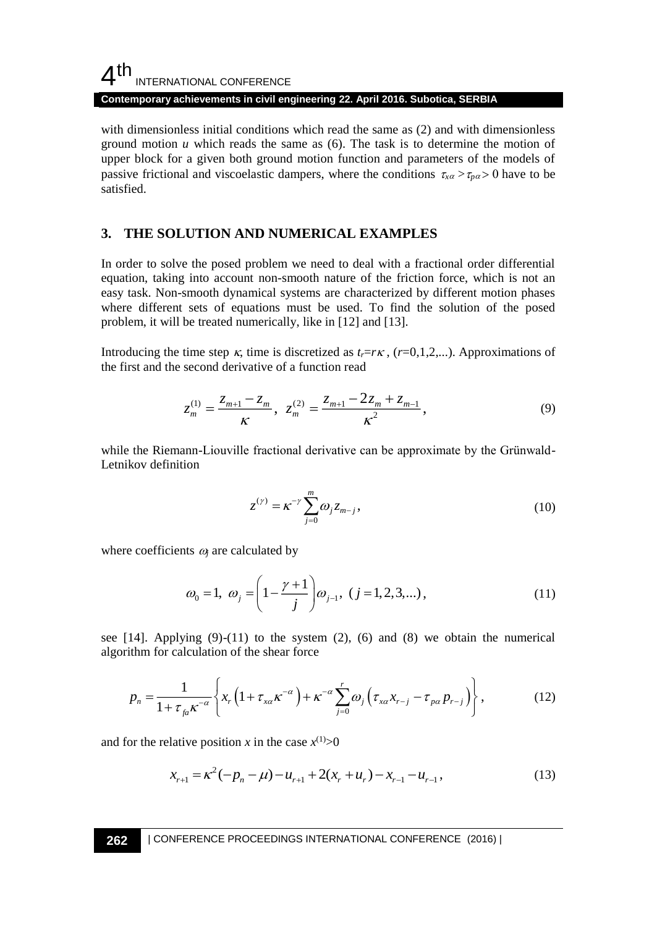#### $4<sup>th</sup>$ INTERNATIONAL CONFERENCE **Contemporary achievements in civil engineering 22. April 2016. Subotica, SERBIA**

with dimensionless initial conditions which read the same as (2) and with dimensionless ground motion *u* which reads the same as (6). The task is to determine the motion of upper block for a given both ground motion function and parameters of the models of passive frictional and viscoelastic dampers, where the conditions  $\tau_{x\alpha} > \tau_{p\alpha} > 0$  have to be satisfied.

#### **3. THE SOLUTION AND NUMERICAL EXAMPLES**

In order to solve the posed problem we need to deal with a fractional order differential equation, taking into account non-smooth nature of the friction force, which is not an easy task. Non-smooth dynamical systems are characterized by different motion phases where different sets of equations must be used. To find the solution of the posed problem, it will be treated numerically, like in [12] and [13].

Introducing the time step  $\kappa$ , time is discretized as  $t<sub>r</sub>=r\kappa$ , ( $r=0,1,2,...$ ). Approximations of the first and the second derivative of a function read

$$
z_m^{(1)} = \frac{z_{m+1} - z_m}{K}, \ z_m^{(2)} = \frac{z_{m+1} - 2z_m + z_{m-1}}{K^2}, \tag{9}
$$

while the Riemann-Liouville fractional derivative can be approximate by the Grünwald-Letnikov definition

$$
z^{(\gamma)} = \kappa^{-\gamma} \sum_{j=0}^{m} \omega_j z_{m-j}, \qquad (10)
$$

where coefficients  $\omega_j$  are calculated by

$$
\omega_0 = 1, \ \omega_j = \left(1 - \frac{\gamma + 1}{j}\right)\omega_{j-1}, \ (j = 1, 2, 3, \dots), \tag{11}
$$

see  $[14]$ . Applying  $(9)-(11)$  to the system  $(2)$ ,  $(6)$  and  $(8)$  we obtain the numerical algorithm for calculation of the shear force

$$
p_n = \frac{1}{1 + \tau_{ja} \kappa^{-\alpha}} \left\{ x_r \left( 1 + \tau_{xa} \kappa^{-\alpha} \right) + \kappa^{-\alpha} \sum_{j=0}^r \omega_j \left( \tau_{xa} x_{r-j} - \tau_{pa} p_{r-j} \right) \right\},
$$
(12)

and for the relative position *x* in the case  $x^{(1)} > 0$ 

$$
x_{r+1} = \kappa^2 \left(-p_n - \mu\right) - u_{r+1} + 2(x_r + u_r) - x_{r-1} - u_{r-1},\tag{13}
$$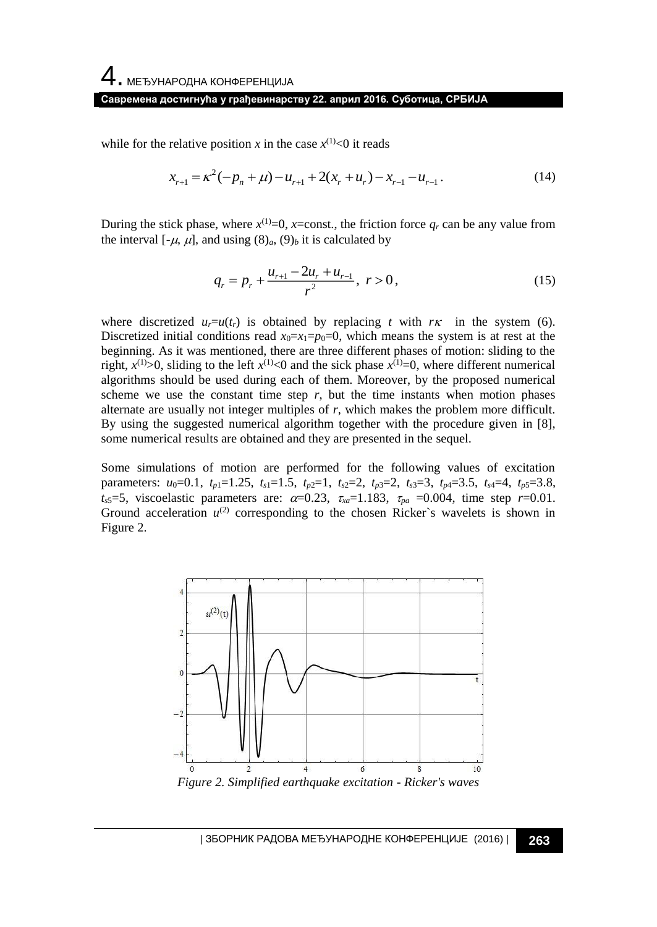while for the relative position *x* in the case  $x^{(1)}$  < 0 it reads

$$
x_{r+1} = \kappa^2 \left(-p_n + \mu\right) - u_{r+1} + 2(x_r + u_r) - x_{r-1} - u_{r-1} \,. \tag{14}
$$

During the stick phase, where  $x^{(1)}=0$ , *x*=const., the friction force  $q_r$  can be any value from the interval  $[-\mu, \mu]$ , and using  $(8)_a$ ,  $(9)_b$  it is calculated by

$$
q_r = p_r + \frac{u_{r+1} - 2u_r + u_{r-1}}{r^2}, \ r > 0,
$$
\n(15)

where discretized  $u_r=u(t_r)$  is obtained by replacing *t* with  $r\kappa$  in the system (6). Discretized initial conditions read  $x_0=x_1=p_0=0$ , which means the system is at rest at the beginning. As it was mentioned, there are three different phases of motion: sliding to the right,  $x^{(1)} > 0$ , sliding to the left  $x^{(1)} < 0$  and the sick phase  $x^{(1)} = 0$ , where different numerical algorithms should be used during each of them. Moreover, by the proposed numerical scheme we use the constant time step  $r$ , but the time instants when motion phases alternate are usually not integer multiples of *r*, which makes the problem more difficult. By using the suggested numerical algorithm together with the procedure given in [8], some numerical results are obtained and they are presented in the sequel.

Some simulations of motion are performed for the following values of excitation parameters: *u*0=0.1, *tp*1=1.25, *ts*1=1.5, *tp*2=1, *ts*2=2, *tp*3=2, *ts*3=3, *tp*4=3.5, *ts*4=4, *tp*5=3.8,  $t_{s5}=5$ , viscoelastic parameters are:  $\alpha=0.23$ ,  $\tau_{xa}=1.183$ ,  $\tau_{pa}=0.004$ , time step  $r=0.01$ . Ground acceleration  $u^{(2)}$  corresponding to the chosen Ricker's wavelets is shown in Figure 2.

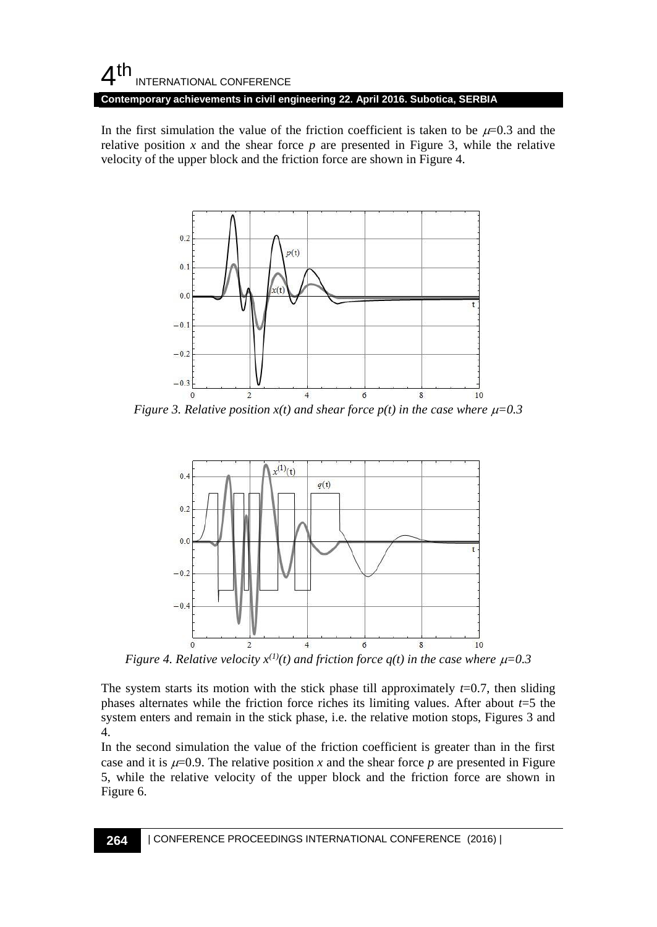#### $4<sup>th</sup>$ INTERNATIONAL CONFERENCE **Contemporary achievements in civil engineering 22. April 2016. Subotica, SERBIA**

In the first simulation the value of the friction coefficient is taken to be  $\mu=0.3$  and the relative position  $x$  and the shear force  $p$  are presented in Figure 3, while the relative velocity of the upper block and the friction force are shown in Figure 4.



*Figure 3. Relative position*  $x(t)$  *and shear force*  $p(t)$  *in the case where*  $\mu=0.3$ 



*Figure 4. Relative velocity*  $x^{(1)}(t)$  and friction force  $q(t)$  in the case where  $\mu$ =0.3

The system starts its motion with the stick phase till approximately  $t=0.7$ , then sliding phases alternates while the friction force riches its limiting values. After about *t*=5 the system enters and remain in the stick phase, i.e. the relative motion stops, Figures 3 and 4.

In the second simulation the value of the friction coefficient is greater than in the first case and it is  $\mu=0.9$ . The relative position *x* and the shear force *p* are presented in Figure 5, while the relative velocity of the upper block and the friction force are shown in Figure 6.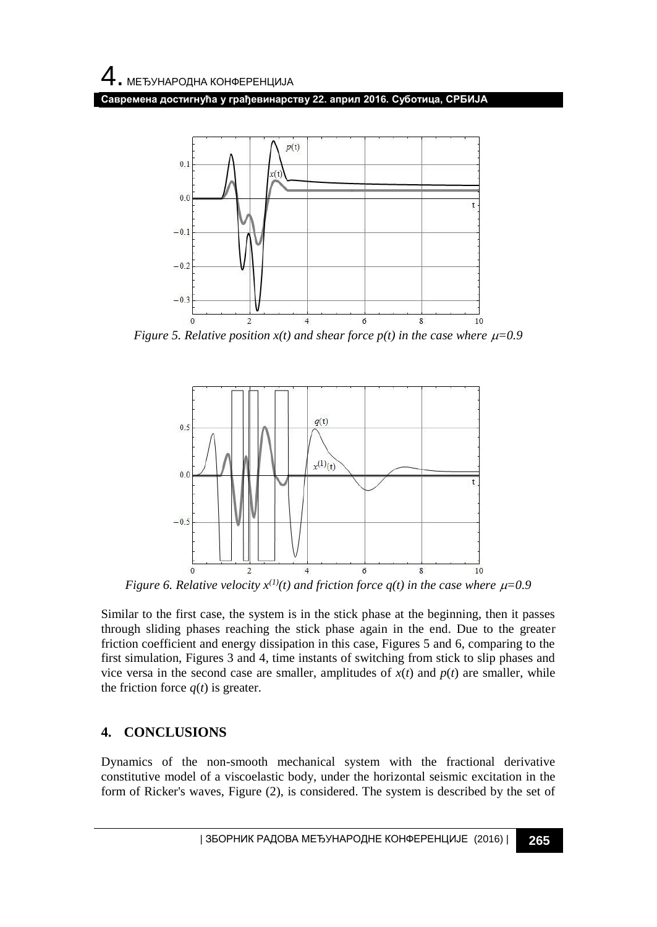**Савремена достигнућа у грађевинарству 22. април 2016. Суботица, СРБИЈА**



*Figure 5. Relative position*  $x(t)$  *and shear force*  $p(t)$  *in the case where*  $\mu$ *=0.9* 



*Figure 6. Relative velocity*  $x^{(1)}(t)$  and friction force  $q(t)$  in the case where  $\mu=0.9$ 

Similar to the first case, the system is in the stick phase at the beginning, then it passes through sliding phases reaching the stick phase again in the end. Due to the greater friction coefficient and energy dissipation in this case, Figures 5 and 6, comparing to the first simulation, Figures 3 and 4, time instants of switching from stick to slip phases and vice versa in the second case are smaller, amplitudes of  $x(t)$  and  $p(t)$  are smaller, while the friction force  $q(t)$  is greater.

#### **4. CONCLUSIONS**

Dynamics of the non-smooth mechanical system with the fractional derivative constitutive model of a viscoelastic body, under the horizontal seismic excitation in the form of Ricker's waves, Figure (2), is considered. The system is described by the set of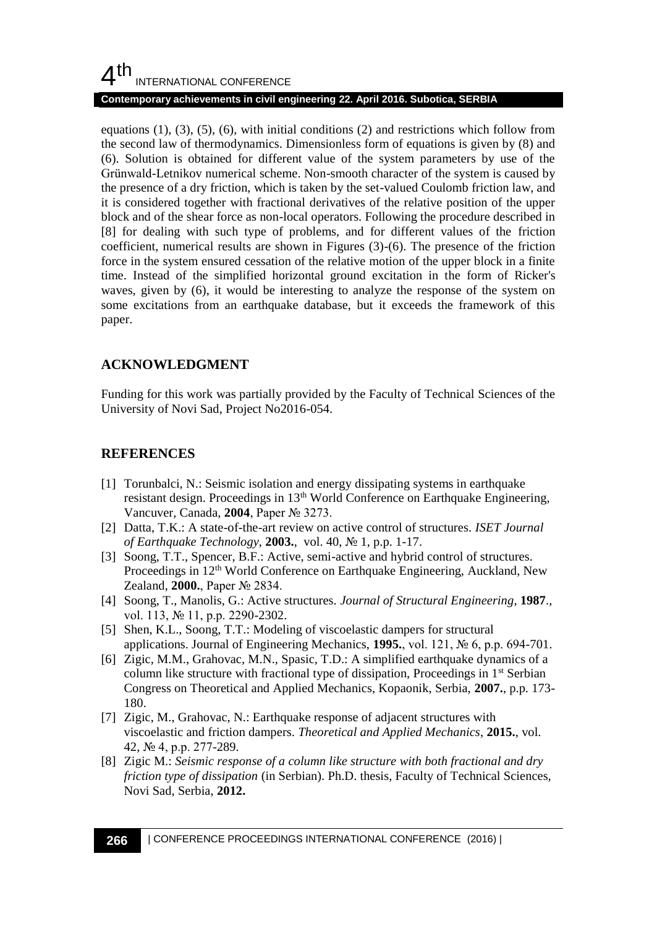## $4<sup>th</sup>$ INTERNATIONAL CONFERENCE

#### **Contemporary achievements in civil engineering 22. April 2016. Subotica, SERBIA**

equations  $(1)$ ,  $(3)$ ,  $(5)$ ,  $(6)$ , with initial conditions  $(2)$  and restrictions which follow from the second law of thermodynamics. Dimensionless form of equations is given by (8) and (6). Solution is obtained for different value of the system parameters by use of the Grünwald-Letnikov numerical scheme. Non-smooth character of the system is caused by the presence of a dry friction, which is taken by the set-valued Coulomb friction law, and it is considered together with fractional derivatives of the relative position of the upper block and of the shear force as non-local operators. Following the procedure described in [8] for dealing with such type of problems, and for different values of the friction coefficient, numerical results are shown in Figures (3)-(6). The presence of the friction force in the system ensured cessation of the relative motion of the upper block in a finite time. Instead of the simplified horizontal ground excitation in the form of Ricker's waves, given by (6), it would be interesting to analyze the response of the system on some excitations from an earthquake database, but it exceeds the framework of this paper.

#### **ACKNOWLEDGMENT**

Funding for this work was partially provided by the Faculty of Technical Sciences of the University of Novi Sad, Project No2016-054.

#### **REFERENCES**

- [1] Torunbalci, N.: Seismic isolation and energy dissipating systems in earthquake resistant design. Proceedings in 13<sup>th</sup> World Conference on Earthquake Engineering, Vancuver, Canada, **2004**, Paper № 3273.
- [2] Datta, T.K.: A state-of-the-art review on active control of structures. *ISET Journal of Earthquake Technology,* **2003.**, vol. 40, № 1, p.p. 1-17.
- [3] Soong, T.T., Spencer, B.F.: Active, semi-active and hybrid control of structures. Proceedings in 12<sup>th</sup> World Conference on Earthquake Engineering, Auckland, New Zealand, **2000.**, Paper № 2834.
- [4] Soong, T., Manolis, G.: Active structures. *Journal of Structural Engineering*, **1987**., vol. 113, № 11, p.p. 2290-2302.
- [5] Shen, K.L., Soong, T.T.: Modeling of viscoelastic dampers for structural applications. Journal of Engineering Mechanics, **1995.**, vol. 121, № 6, p.p. 694-701.
- [6] Zigic, M.M., Grahovac, M.N., Spasic, T.D.: A simplified earthquake dynamics of a column like structure with fractional type of dissipation, Proceedings in  $1<sup>st</sup>$  Serbian Congress on Theoretical and Applied Mechanics, Kopaonik, Serbia, **2007.**, p.p. 173- 180.
- [7] Zigic, M., Grahovac, N.: Earthquake response of adjacent structures with viscoelastic and friction dampers. *Theoretical and Applied Mechanics*, **2015.**, vol. 42, № 4, p.p. 277-289.
- [8] Zigic M.: *Seismic response of a column like structure with both fractional and dry friction type of dissipation* (in Serbian). Ph.D. thesis, Faculty of Technical Sciences, Novi Sad, Serbia, **2012.**